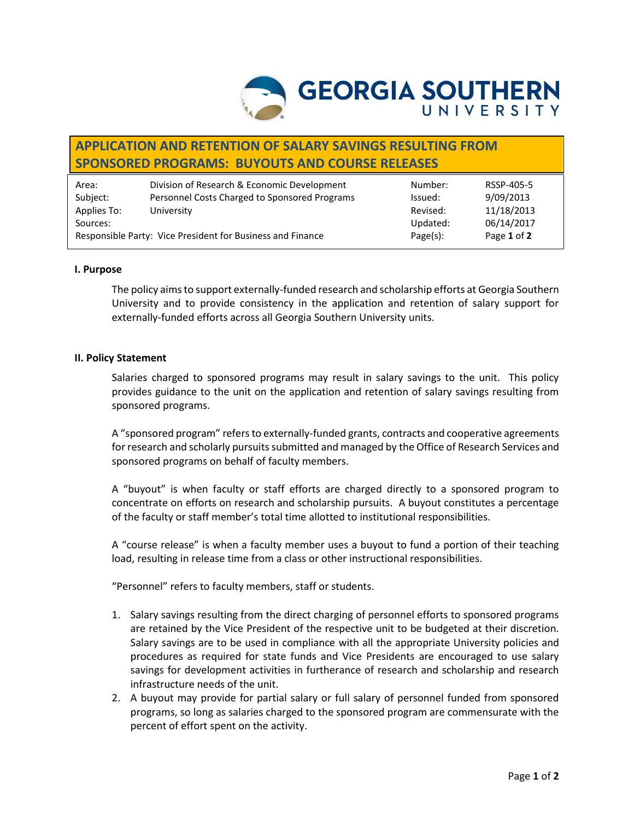

# **APPLICATION AND RETENTION OF SALARY SAVINGS RESULTING FROM SPONSORED PROGRAMS: BUYOUTS AND COURSE RELEASES**

| Area:                                                      | Division of Research & Economic Development   | Number:     | RSSP-405-5  |
|------------------------------------------------------------|-----------------------------------------------|-------------|-------------|
| Subject:                                                   | Personnel Costs Charged to Sponsored Programs | Issued:     | 9/09/2013   |
| Applies To:                                                | University                                    | Revised:    | 11/18/2013  |
| Sources:                                                   |                                               | Updated:    | 06/14/2017  |
| Responsible Party: Vice President for Business and Finance |                                               | $Page(s)$ : | Page 1 of 2 |

## **I. Purpose**

The policy aims to support externally-funded research and scholarship efforts at Georgia Southern University and to provide consistency in the application and retention of salary support for externally-funded efforts across all Georgia Southern University units.

#### **II. Policy Statement**

Salaries charged to sponsored programs may result in salary savings to the unit. This policy provides guidance to the unit on the application and retention of salary savings resulting from sponsored programs.

A "sponsored program" refers to externally-funded grants, contracts and cooperative agreements for research and scholarly pursuits submitted and managed by the Office of Research Services and sponsored programs on behalf of faculty members.

A "buyout" is when faculty or staff efforts are charged directly to a sponsored program to concentrate on efforts on research and scholarship pursuits. A buyout constitutes a percentage of the faculty or staff member's total time allotted to institutional responsibilities.

A "course release" is when a faculty member uses a buyout to fund a portion of their teaching load, resulting in release time from a class or other instructional responsibilities.

"Personnel" refers to faculty members, staff or students.

- 1. Salary savings resulting from the direct charging of personnel efforts to sponsored programs are retained by the Vice President of the respective unit to be budgeted at their discretion. Salary savings are to be used in compliance with all the appropriate University policies and procedures as required for state funds and Vice Presidents are encouraged to use salary savings for development activities in furtherance of research and scholarship and research infrastructure needs of the unit.
- 2. A buyout may provide for partial salary or full salary of personnel funded from sponsored programs, so long as salaries charged to the sponsored program are commensurate with the percent of effort spent on the activity.